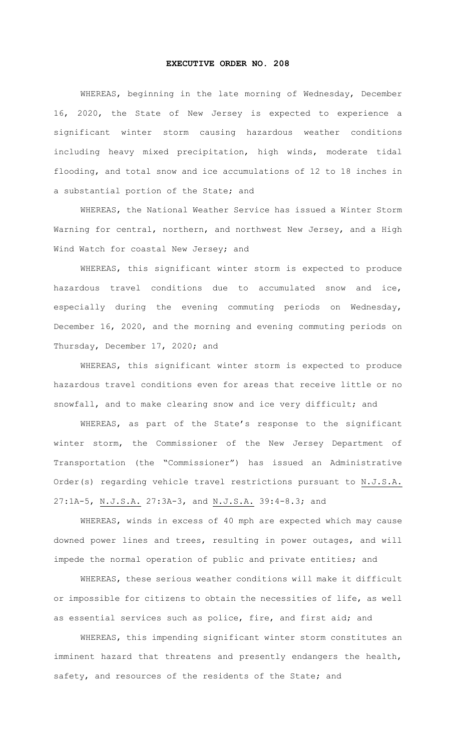## **EXECUTIVE ORDER NO. 208**

WHEREAS, beginning in the late morning of Wednesday, December 16, 2020, the State of New Jersey is expected to experience a significant winter storm causing hazardous weather conditions including heavy mixed precipitation, high winds, moderate tidal flooding, and total snow and ice accumulations of 12 to 18 inches in a substantial portion of the State; and

WHEREAS, the National Weather Service has issued a Winter Storm Warning for central, northern, and northwest New Jersey, and a High Wind Watch for coastal New Jersey; and

WHEREAS, this significant winter storm is expected to produce hazardous travel conditions due to accumulated snow and ice, especially during the evening commuting periods on Wednesday, December 16, 2020, and the morning and evening commuting periods on Thursday, December 17, 2020; and

WHEREAS, this significant winter storm is expected to produce hazardous travel conditions even for areas that receive little or no snowfall, and to make clearing snow and ice very difficult; and

WHEREAS, as part of the State's response to the significant winter storm, the Commissioner of the New Jersey Department of Transportation (the "Commissioner") has issued an Administrative Order(s) regarding vehicle travel restrictions pursuant to N.J.S.A. 27:1A-5, N.J.S.A. 27:3A-3, and N.J.S.A. 39:4-8.3; and

WHEREAS, winds in excess of 40 mph are expected which may cause downed power lines and trees, resulting in power outages, and will impede the normal operation of public and private entities; and

WHEREAS, these serious weather conditions will make it difficult or impossible for citizens to obtain the necessities of life, as well as essential services such as police, fire, and first aid; and

WHEREAS, this impending significant winter storm constitutes an imminent hazard that threatens and presently endangers the health, safety, and resources of the residents of the State; and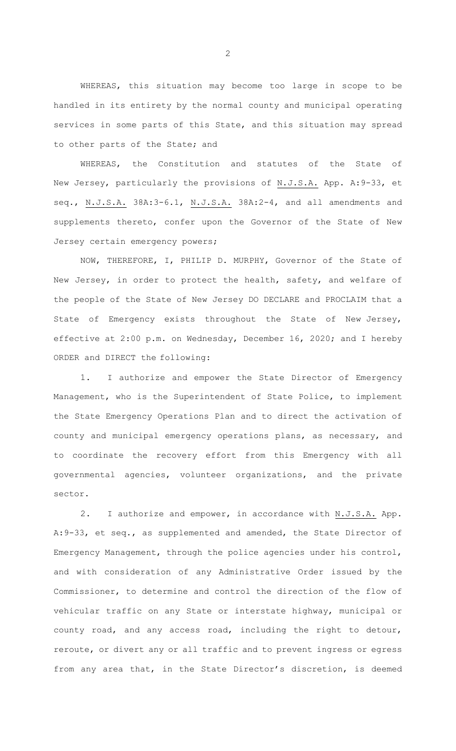WHEREAS, this situation may become too large in scope to be handled in its entirety by the normal county and municipal operating services in some parts of this State, and this situation may spread to other parts of the State; and

WHEREAS, the Constitution and statutes of the State of New Jersey, particularly the provisions of N.J.S.A. App. A:9-33, et seq., N.J.S.A. 38A:3-6.1, N.J.S.A. 38A:2-4, and all amendments and supplements thereto, confer upon the Governor of the State of New Jersey certain emergency powers;

NOW, THEREFORE, I, PHILIP D. MURPHY, Governor of the State of New Jersey, in order to protect the health, safety, and welfare of the people of the State of New Jersey DO DECLARE and PROCLAIM that a State of Emergency exists throughout the State of New Jersey, effective at 2:00 p.m. on Wednesday, December 16, 2020; and I hereby ORDER and DIRECT the following:

1. I authorize and empower the State Director of Emergency Management, who is the Superintendent of State Police, to implement the State Emergency Operations Plan and to direct the activation of county and municipal emergency operations plans, as necessary, and to coordinate the recovery effort from this Emergency with all governmental agencies, volunteer organizations, and the private sector.

2. I authorize and empower, in accordance with N.J.S.A. App. A:9-33, et seq., as supplemented and amended, the State Director of Emergency Management, through the police agencies under his control, and with consideration of any Administrative Order issued by the Commissioner, to determine and control the direction of the flow of vehicular traffic on any State or interstate highway, municipal or county road, and any access road, including the right to detour, reroute, or divert any or all traffic and to prevent ingress or egress from any area that, in the State Director's discretion, is deemed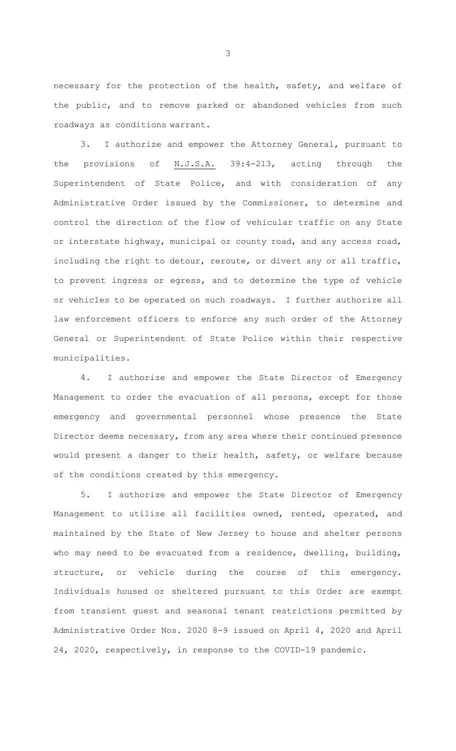necessary for the protection of the health, safety, and welfare of the public, and to remove parked or abandoned vehicles from such roadways as conditions warrant.

3. I authorize and empower the Attorney General, pursuant to the provisions of N.J.S.A. 39:4-213, acting through the Superintendent of State Police, and with consideration of any Administrative Order issued by the Commissioner, to determine and control the direction of the flow of vehicular traffic on any State or interstate highway, municipal or county road, and any access road, including the right to detour, reroute, or divert any or all traffic, to prevent ingress or egress, and to determine the type of vehicle or vehicles to be operated on such roadways. I further authorize all law enforcement officers to enforce any such order of the Attorney General or Superintendent of State Police within their respective municipalities.

4. I authorize and empower the State Director of Emergency Management to order the evacuation of all persons, except for those emergency and governmental personnel whose presence the State Director deems necessary, from any area where their continued presence would present a danger to their health, safety, or welfare because of the conditions created by this emergency.

5. I authorize and empower the State Director of Emergency Management to utilize all facilities owned, rented, operated, and maintained by the State of New Jersey to house and shelter persons who may need to be evacuated from a residence, dwelling, building, structure, or vehicle during the course of this emergency. Individuals housed or sheltered pursuant to this Order are exempt from transient guest and seasonal tenant restrictions permitted by Administrative Order Nos. 2020 8-9 issued on April 4, 2020 and April 24, 2020, respectively, in response to the COVID-19 pandemic.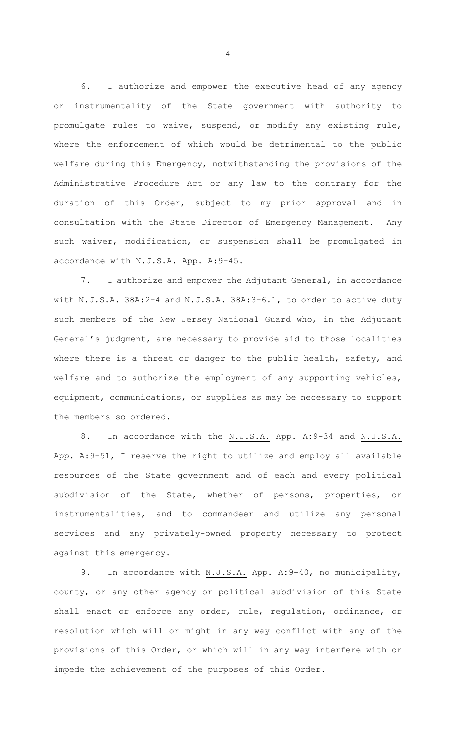6. I authorize and empower the executive head of any agency or instrumentality of the State government with authority to promulgate rules to waive, suspend, or modify any existing rule, where the enforcement of which would be detrimental to the public welfare during this Emergency, notwithstanding the provisions of the Administrative Procedure Act or any law to the contrary for the duration of this Order, subject to my prior approval and in consultation with the State Director of Emergency Management. Any such waiver, modification, or suspension shall be promulgated in accordance with N.J.S.A. App. A:9-45.

7. I authorize and empower the Adjutant General, in accordance with N.J.S.A. 38A:2-4 and N.J.S.A. 38A:3-6.1, to order to active duty such members of the New Jersey National Guard who, in the Adjutant General's judgment, are necessary to provide aid to those localities where there is a threat or danger to the public health, safety, and welfare and to authorize the employment of any supporting vehicles, equipment, communications, or supplies as may be necessary to support the members so ordered.

8. In accordance with the N.J.S.A. App. A:9-34 and N.J.S.A. App. A:9-51, I reserve the right to utilize and employ all available resources of the State government and of each and every political subdivision of the State, whether of persons, properties, or instrumentalities, and to commandeer and utilize any personal services and any privately-owned property necessary to protect against this emergency.

9. In accordance with N.J.S.A. App. A: 9-40, no municipality, county, or any other agency or political subdivision of this State shall enact or enforce any order, rule, regulation, ordinance, or resolution which will or might in any way conflict with any of the provisions of this Order, or which will in any way interfere with or impede the achievement of the purposes of this Order.